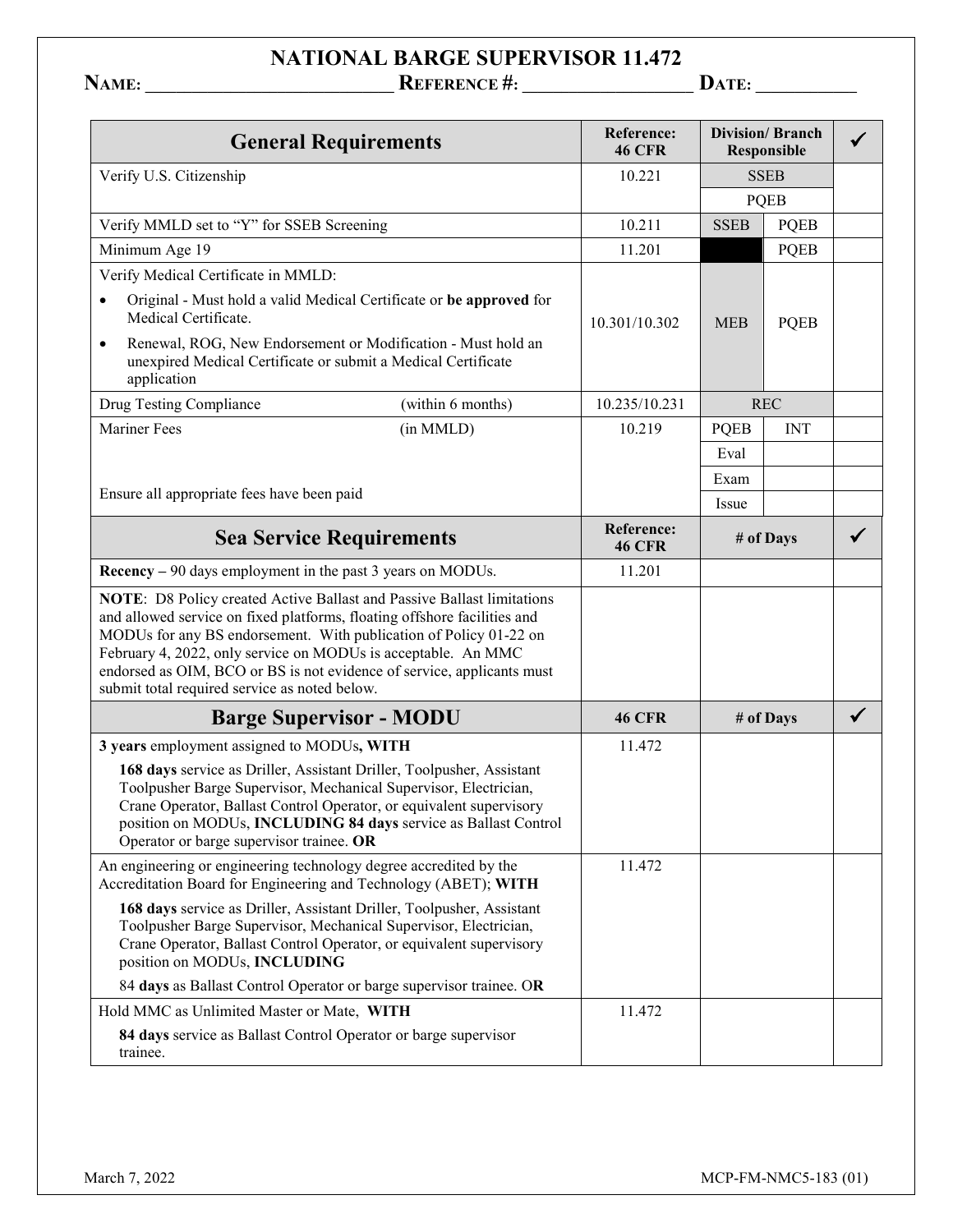## **NATIONAL BARGE SUPERVISOR 11.472**

**NAME: \_\_\_\_\_\_\_\_\_\_\_\_\_\_\_\_\_\_\_\_\_\_\_\_\_\_\_\_\_\_\_\_ REFERENCE #: \_\_\_\_\_\_\_\_\_\_\_\_\_\_\_\_\_\_\_\_\_\_ DATE: \_\_\_\_\_\_\_\_\_\_\_\_\_**

| <b>General Requirements</b>                                                                                                                                                                                                                                                                                                                                                                                         |                   | Reference:<br><b>46 CFR</b> | <b>Division/Branch</b><br><b>Responsible</b> |             |              |
|---------------------------------------------------------------------------------------------------------------------------------------------------------------------------------------------------------------------------------------------------------------------------------------------------------------------------------------------------------------------------------------------------------------------|-------------------|-----------------------------|----------------------------------------------|-------------|--------------|
| Verify U.S. Citizenship                                                                                                                                                                                                                                                                                                                                                                                             |                   | 10.221                      | <b>SSEB</b>                                  |             |              |
|                                                                                                                                                                                                                                                                                                                                                                                                                     |                   |                             | <b>PQEB</b>                                  |             |              |
| Verify MMLD set to "Y" for SSEB Screening                                                                                                                                                                                                                                                                                                                                                                           |                   | 10.211                      | <b>SSEB</b>                                  | <b>PQEB</b> |              |
| Minimum Age 19                                                                                                                                                                                                                                                                                                                                                                                                      |                   | 11.201                      |                                              | <b>PQEB</b> |              |
| Verify Medical Certificate in MMLD:                                                                                                                                                                                                                                                                                                                                                                                 |                   |                             |                                              |             |              |
| Original - Must hold a valid Medical Certificate or be approved for<br>$\bullet$<br>Medical Certificate.                                                                                                                                                                                                                                                                                                            |                   | 10.301/10.302               | <b>MEB</b>                                   | <b>PQEB</b> |              |
| Renewal, ROG, New Endorsement or Modification - Must hold an<br>$\bullet$<br>unexpired Medical Certificate or submit a Medical Certificate<br>application                                                                                                                                                                                                                                                           |                   |                             |                                              |             |              |
| Drug Testing Compliance                                                                                                                                                                                                                                                                                                                                                                                             | (within 6 months) | 10.235/10.231               |                                              | <b>REC</b>  |              |
| <b>Mariner Fees</b>                                                                                                                                                                                                                                                                                                                                                                                                 | (in MMLD)         | 10.219                      | <b>PQEB</b>                                  | <b>INT</b>  |              |
|                                                                                                                                                                                                                                                                                                                                                                                                                     |                   |                             | Eval                                         |             |              |
|                                                                                                                                                                                                                                                                                                                                                                                                                     |                   |                             | Exam                                         |             |              |
| Ensure all appropriate fees have been paid                                                                                                                                                                                                                                                                                                                                                                          |                   |                             | Issue                                        |             |              |
| <b>Sea Service Requirements</b>                                                                                                                                                                                                                                                                                                                                                                                     |                   | Reference:<br><b>46 CFR</b> | # of Days                                    |             |              |
| Recency – 90 days employment in the past 3 years on MODUs.                                                                                                                                                                                                                                                                                                                                                          |                   | 11.201                      |                                              |             |              |
| NOTE: D8 Policy created Active Ballast and Passive Ballast limitations<br>and allowed service on fixed platforms, floating offshore facilities and<br>MODUs for any BS endorsement. With publication of Policy 01-22 on<br>February 4, 2022, only service on MODUs is acceptable. An MMC<br>endorsed as OIM, BCO or BS is not evidence of service, applicants must<br>submit total required service as noted below. |                   |                             |                                              |             |              |
| <b>Barge Supervisor - MODU</b>                                                                                                                                                                                                                                                                                                                                                                                      |                   | <b>46 CFR</b>               | # of Days                                    |             | $\checkmark$ |
| 3 years employment assigned to MODUs, WITH                                                                                                                                                                                                                                                                                                                                                                          |                   | 11.472                      |                                              |             |              |
| 168 days service as Driller, Assistant Driller, Toolpusher, Assistant<br>Toolpusher Barge Supervisor, Mechanical Supervisor, Electrician,<br>Crane Operator, Ballast Control Operator, or equivalent supervisory<br>position on MODUs, INCLUDING 84 days service as Ballast Control<br>Operator or barge supervisor trainee. OR                                                                                     |                   |                             |                                              |             |              |
| An engineering or engineering technology degree accredited by the<br>Accreditation Board for Engineering and Technology (ABET); WITH                                                                                                                                                                                                                                                                                |                   | 11.472                      |                                              |             |              |
| 168 days service as Driller, Assistant Driller, Toolpusher, Assistant<br>Toolpusher Barge Supervisor, Mechanical Supervisor, Electrician,<br>Crane Operator, Ballast Control Operator, or equivalent supervisory<br>position on MODUs, INCLUDING                                                                                                                                                                    |                   |                             |                                              |             |              |
| 84 days as Ballast Control Operator or barge supervisor trainee. OR                                                                                                                                                                                                                                                                                                                                                 |                   |                             |                                              |             |              |
| Hold MMC as Unlimited Master or Mate, WITH                                                                                                                                                                                                                                                                                                                                                                          |                   | 11.472                      |                                              |             |              |
| 84 days service as Ballast Control Operator or barge supervisor<br>trainee.                                                                                                                                                                                                                                                                                                                                         |                   |                             |                                              |             |              |